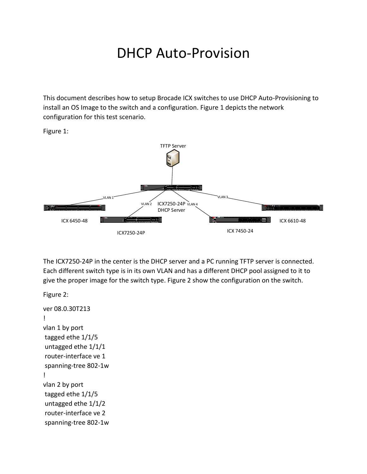## DHCP Auto-Provision

This document describes how to setup Brocade ICX switches to use DHCP Auto-Provisioning to install an OS Image to the switch and a configuration. Figure 1 depicts the network configuration for this test scenario.

Figure 1:



The ICX7250-24P in the center is the DHCP server and a PC running TFTP server is connected. Each different switch type is in its own VLAN and has a different DHCP pool assigned to it to give the proper image for the switch type. Figure 2 show the configuration on the switch.

```
Figure 2:
ver 08.0.30T213
!
vlan 1 by port
tagged ethe 1/1/5 
untagged ethe 1/1/1 
router-interface ve 1
spanning-tree 802-1w
!
vlan 2 by port
tagged ethe 1/1/5 
untagged ethe 1/1/2 
router-interface ve 2
spanning-tree 802-1w
```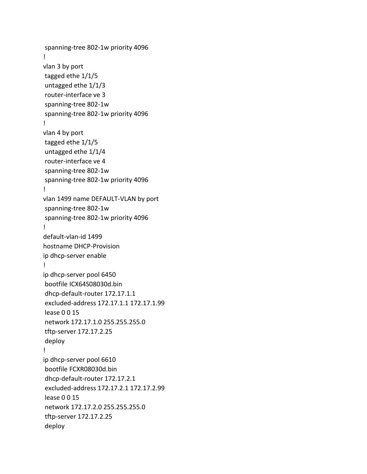```
spanning-tree 802-1w priority 4096 
!
vlan 3 by port
tagged ethe 1/1/5 
untagged ethe 1/1/3 
router-interface ve 3
spanning-tree 802-1w
spanning-tree 802-1w priority 4096
!
vlan 4 by port
tagged ethe 1/1/5 
untagged ethe 1/1/4 
router-interface ve 4
spanning-tree 802-1w
spanning-tree 802-1w priority 4096
!
vlan 1499 name DEFAULT-VLAN by port
spanning-tree 802-1w
spanning-tree 802-1w priority 4096
!
default-vlan-id 1499
hostname DHCP-Provision
ip dhcp-server enable
!
ip dhcp-server pool 6450
bootfile ICX64S08030d.bin
dhcp-default-router 172.17.1.1 
excluded-address 172.17.1.1 172.17.1.99
lease 0 0 15
network 172.17.1.0 255.255.255.0
tftp-server 172.17.2.25
deploy
!
ip dhcp-server pool 6610
bootfile FCXR08030d.bin
dhcp-default-router 172.17.2.1 
excluded-address 172.17.2.1 172.17.2.99
lease 0 0 15
network 172.17.2.0 255.255.255.0
tftp-server 172.17.2.25 
deploy
```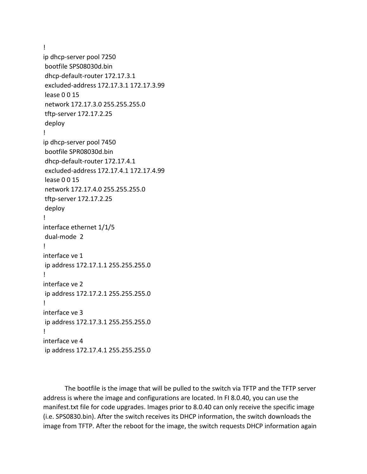!

ip dhcp-server pool 7250 bootfile SPS08030d.bin dhcp-default-router 172.17.3.1 excluded-address 172.17.3.1 172.17.3.99 lease 0 0 15 network 172.17.3.0 255.255.255.0 tftp-server 172.17.2.25 deploy ! ip dhcp-server pool 7450 bootfile SPR08030d.bin dhcp-default-router 172.17.4.1 excluded-address 172.17.4.1 172.17.4.99 lease 0 0 15 network 172.17.4.0 255.255.255.0 tftp-server 172.17.2.25 deploy ! interface ethernet 1/1/5 dual-mode 2 ! interface ve 1 ip address 172.17.1.1 255.255.255.0 ! interface ve 2 ip address 172.17.2.1 255.255.255.0 ! interface ve 3 ip address 172.17.3.1 255.255.255.0 ! interface ve 4 ip address 172.17.4.1 255.255.255.0

The bootfile is the image that will be pulled to the switch via TFTP and the TFTP server address is where the image and configurations are located. In FI 8.0.40, you can use the manifest.txt file for code upgrades. Images prior to 8.0.40 can only receive the specific image (i.e. SPS0830.bin). After the switch receives its DHCP information, the switch downloads the image from TFTP. After the reboot for the image, the switch requests DHCP information again